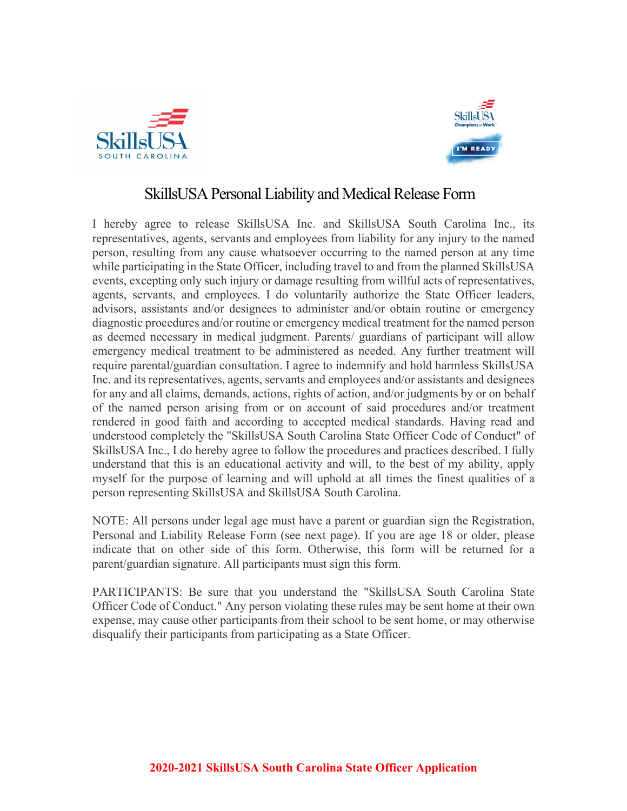



## SkillsUSA Personal Liability and Medical Release Form

I hereby agree to release SkillsUSA Inc. and SkillsUSA South Carolina Inc., its representatives, agents, servants and employees from liability for any injury to the named person, resulting from any cause whatsoever occurring to the named person at any time while participating in the State Officer, including travel to and from the planned SkillsUSA events, excepting only such injury or damage resulting from willful acts of representatives, agents, servants, and employees. I do voluntarily authorize the State Officer leaders, advisors, assistants and/or designees to administer and/or obtain routine or emergency diagnostic procedures and/or routine or emergency medical treatment for the named person as deemed necessary in medical judgment. Parents/ guardians of participant will allow emergency medical treatment to be administered as needed. Any further treatment will require parental/guardian consultation. I agree to indemnify and hold harmless SkillsUSA Inc. and its representatives, agents, servants and employees and/or assistants and designees for any and all claims, demands, actions, rights of action, and/or judgments by or on behalf of the named person arising from or on account of said procedures and/or treatment rendered in good faith and according to accepted medical standards. Having read and understood completely the "SkillsUSA South Carolina State Officer Code of Conduct" of SkillsUSA Inc., I do hereby agree to follow the procedures and practices described. I fully understand that this is an educational activity and will, to the best of my ability, apply myself for the purpose of learning and will uphold at all times the finest qualities of a person representing SkillsUSA and SkillsUSA South Carolina.

NOTE: All persons under legal age must have a parent or guardian sign the Registration, Personal and Liability Release Form (see next page). If you are age 18 or older, please indicate that on other side of this form. Otherwise, this form will be returned for a parent/guardian signature. All participants must sign this form.

PARTICIPANTS: Be sure that you understand the "SkillsUSA South Carolina State Officer Code of Conduct." Any person violating these rules may be sent home at their own expense, may cause other participants from their school to be sent home, or may otherwise disqualify their participants from participating as a State Officer.